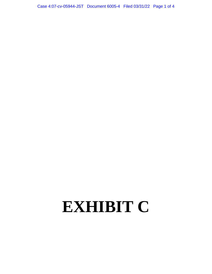# **EXHIBIT C**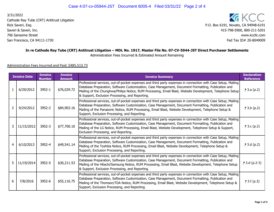Cathode Ray Tube (CRT) Antitrust Litigation Rick Saveri, Esq.Saveri & Saveri, Inc.706 Sansome StreetSan Francisco, CA 94111-17303/31/2022

**KG** KCC P.O. Box 6191, Novato, CA 94948-6191 415-798-5900, 800-211-5201www.kccllc.com www.kccllc.com $\sim$  Fed Tax ID# 20-8049009

## **In re Cathode Ray Tube (CRT) Antitrust Litigation – MDL No. 1917, Master File No. 07-CV-5944-JST Direct Purchaser Settlements**

Administration Fees Incurred & Estimated Amount Remaining

## Administration Fees Incurred and Paid: \$485,513.73

| <b>Invoice Date</b> |                | <b>Invoice</b><br><b>Number</b> | <b>Invoice</b><br><b>Amount</b> | <b>Invoice Summary</b>                                                                                                                                                                                                                                                                                                                                                               | <b>Declaration</b><br><b>Reference</b> |
|---------------------|----------------|---------------------------------|---------------------------------|--------------------------------------------------------------------------------------------------------------------------------------------------------------------------------------------------------------------------------------------------------------------------------------------------------------------------------------------------------------------------------------|----------------------------------------|
| $\mathbf{1}$        | 6/29/2012      | 3952-1                          | \$76,029.72                     | Professional services, out-of-pocket expenses and third party expenses in connection with Case Setup, Mailing<br>Database Preparation, Software Customization, Case Management, Document Formatting, Publication and<br>Mailing of the Chunghwa/Philips Notice, RUM Processing, Email Blast, Website Development, Telephone Setup<br>& Support, Exclusion Processing, and Reporting. | ₹ 3.a (p.2)                            |
| $\overline{2}$      | 9/24/2012      | 3952-2                          | \$84,903.16                     | Professional services, out-of-pocket expenses and third party expenses in connection with Case Setup, Mailing<br>Database Preparation, Software Customization, Case Management, Document Formatting, Publication and<br>Mailing of the Panasonic Notice, RUM Processing, Email Blast, Website Development, Telephone Setup &<br>Support, Exclusion Processing, and Reporting.        | ₹ 3.b (p.2)                            |
| 3                   | 11/15/2012     | 3952-3                          | \$77,700.10                     | Professional services, out-of-pocket expenses and third party expenses in connection with Case Setup, Mailing<br>Database Preparation, Software Customization, Case Management, Document Formatting, Publication and<br>Mailing of the LG Notice, RUM Processing, Email Blast, Website Development, Telephone Setup & Support,<br>Exclusion Processing, and Reporting.               | $\uparrow$ 3.c (p.2)                   |
| $\overline{4}$      | 6/10/2013      | 3952-4                          | \$49,541.14                     | Professional services, out-of-pocket expenses and third party expenses in connection with Case Setup, Mailing<br>Database Preparation, Software Customization, Case Management, Document Formatting, Publication and<br>Mailing of the Toshiba Notice, RUM Processing, Email Blast, Website Development, Telephone Setup &<br>Support, Exclusion Processing, and Reporting.          | <b>↑</b> 3.d (p.2)                     |
|                     | 5   11/19/2014 | 3952-5                          | \$30,211.53                     | Professional services, out-of-pocket expenses and third party expenses in connection with Case Setup, Mailing<br>Database Preparation, Software Customization, Case Management, Document Formatting, Publication and<br>Mailing of the Hitachi/Samsung Notice, RUM Processing, Email Blast, Website Development, Telephone Setup<br>& Support, Exclusion Processing, and Reporting.  | 3.d (p.2−3)                            |
| 6                   | 7/8/2016       | 3952-6                          | \$55,116.75                     | Professional services, out-of-pocket expenses and third party expenses in connection with Case Setup, Mailing<br>Database Preparation, Software Customization, Case Management, Document Formatting, Publication and<br>Mailing of the Thomson/TDA Notice, RUM Processing, Email Blast, Website Development, Telephone Setup &<br>Support, Exclusion Processing, and Reporting.      | <b>↑</b> 3.f (p.3)                     |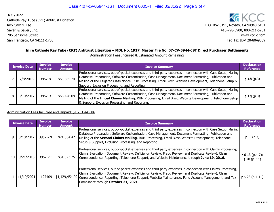Cathode Ray Tube (CRT) Antitrust Litigation Rick Saveri, Esq.Saveri & Saveri, Inc.706 Sansome StreetSan Francisco, CA 94111-17303/31/2022

**KG** KCC P.O. Box 6191, Novato, CA 94948-6191 415-798-5900, 800-211-5201www.kccllc.com www.kccllc.com $\sim$  Fed Tax ID# 20-8049009

# **In re Cathode Ray Tube (CRT) Antitrust Litigation – MDL No. 1917, Master File No. 07-CV-5944-JST Direct Purchaser Settlements**

Administration Fees Incurred & Estimated Amount Remaining

| <b>Invoice Date</b> |           | <b>Invoice</b><br><b>Number</b> | <b>Invoice</b><br><b>Amount</b> | <b>Invoice Summary</b>                                                                                                                                                                                                                                                                                                                                                              | <b>Declaration</b><br><b>Reference</b> |
|---------------------|-----------|---------------------------------|---------------------------------|-------------------------------------------------------------------------------------------------------------------------------------------------------------------------------------------------------------------------------------------------------------------------------------------------------------------------------------------------------------------------------------|----------------------------------------|
|                     | 7/8/2016  | 3952-8                          | \$55,565.24                     | Professional services, out-of-pocket expenses and third party expenses in connection with Case Setup, Mailing<br>Database Preparation, Software Customization, Case Management, Document Formatting, Publication and<br>Mailing of the Litigated Class Notice, RUM Processing, Email Blast, Website Development, Telephone Setup &<br>Support, Exclusion Processing, and Reporting. | <b>P</b> 3.h (p.3)                     |
|                     | 3/10/2017 | 3952-9                          | \$56,446.09                     | Professional services, out-of-pocket expenses and third party expenses in connection with Case Setup, Mailing<br>Database Preparation, Software Customization, Case Management, Document Formatting, Publication and<br>Mailing of the Initial Claims Mailing, RUM Processing, Email Blast, Website Development, Telephone Setup<br>& Support, Exclusion Processing, and Reporting. | <b>P</b> 3.g (p.3)                     |

#### Administration Fees Incurred and Unpaid: \$1,291,445.86

| <b>Invoice Date</b> |            | <b>Invoice</b><br><b>Number</b> | Invoice<br><b>Amount</b> | <b>Invoice Summary</b>                                                                                                                                                                                                                                                                                                                                                             | <b>Declaration</b><br><b>Reference</b>       |
|---------------------|------------|---------------------------------|--------------------------|------------------------------------------------------------------------------------------------------------------------------------------------------------------------------------------------------------------------------------------------------------------------------------------------------------------------------------------------------------------------------------|----------------------------------------------|
|                     | 3/10/2017  | 3952-7N                         | \$71,834.42              | Professional services, out-of-pocket expenses and third party expenses in connection with Case Setup, Mailing<br>Database Preparation, Software Customization, Case Management, Document Formatting, Publication and<br>Mailing of the Second Claims Mailing, RUM Processing, Email Blast, Website Development, Telephone<br>Setup & Support, Exclusion Processing, and Reporting. | <b>P</b> 3.i (p.3)                           |
| 10                  | 9/21/2016  | 3952-7C                         | \$31,023.25              | Professional services, out-of-pocket expenses and third party expenses in connection with Claims Processing,<br>Claims Evaluation (Document Review, Deficiency Review, Fraud Review, and Duplicate Review), Claim<br>Correspondence, Reporting, Telephone Support, and Website Maintenance through June 19, 2016.                                                                  | $\uparrow$ 6-13 (p.4-7);  <br>$P$ 28 (p. 11) |
|                     | 11/19/2021 | 1127409                         |                          | Professional services, out-of-pocket expenses and third party expenses in connection with Claims Processing,<br>Claims Evaluation (Document Review, Deficiency Review, Fraud Review, and Duplicate Review), Claim<br>\$1,129,454.09 Correspondence, Reporting, Telephone Support, Website Maintenance, Fund Account Management, and Tax<br>Compliance through October 31, 2021.    | $P$ 6-28 (p.4-11)                            |